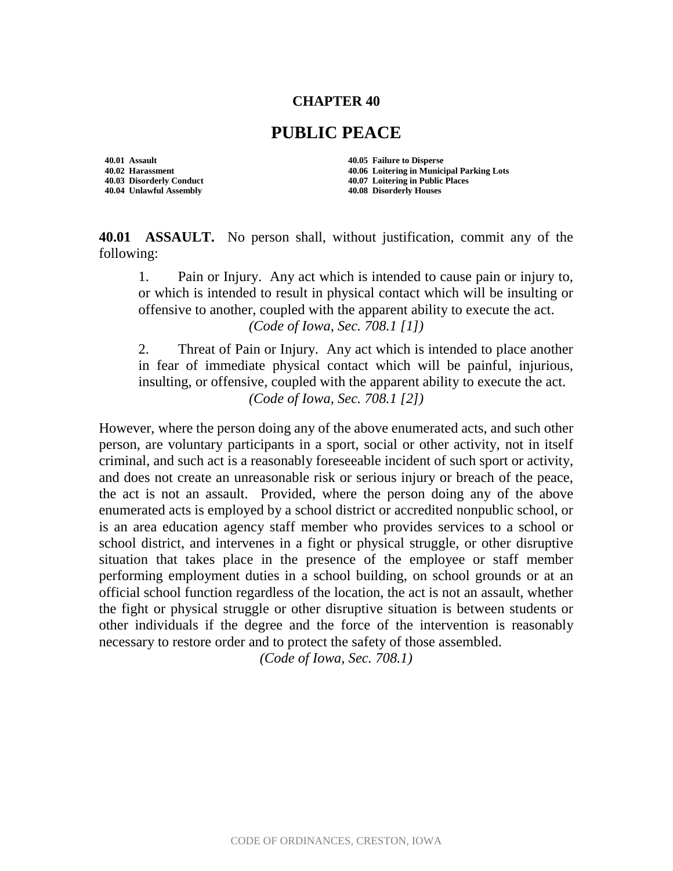## **CHAPTER 40**

## **PUBLIC PEACE**

**40.01 Assault 40.05 Failure to Disperse 40.04 Unlawful Assembly 40.08 Disorderly Houses**

**40.02 Harassment 40.06 Loitering in Municipal Parking Lots 40.03 Disorderly Conduct 40.07 Loitering in Public Places**

**40.01 ASSAULT.** No person shall, without justification, commit any of the following:

1. Pain or Injury. Any act which is intended to cause pain or injury to, or which is intended to result in physical contact which will be insulting or offensive to another, coupled with the apparent ability to execute the act. *(Code of Iowa, Sec. 708.1 [1])*

2. Threat of Pain or Injury. Any act which is intended to place another in fear of immediate physical contact which will be painful, injurious, insulting, or offensive, coupled with the apparent ability to execute the act. *(Code of Iowa, Sec. 708.1 [2])*

However, where the person doing any of the above enumerated acts, and such other person, are voluntary participants in a sport, social or other activity, not in itself criminal, and such act is a reasonably foreseeable incident of such sport or activity, and does not create an unreasonable risk or serious injury or breach of the peace, the act is not an assault. Provided, where the person doing any of the above enumerated acts is employed by a school district or accredited nonpublic school, or is an area education agency staff member who provides services to a school or school district, and intervenes in a fight or physical struggle, or other disruptive situation that takes place in the presence of the employee or staff member performing employment duties in a school building, on school grounds or at an official school function regardless of the location, the act is not an assault, whether the fight or physical struggle or other disruptive situation is between students or other individuals if the degree and the force of the intervention is reasonably necessary to restore order and to protect the safety of those assembled.

*(Code of Iowa, Sec. 708.1)*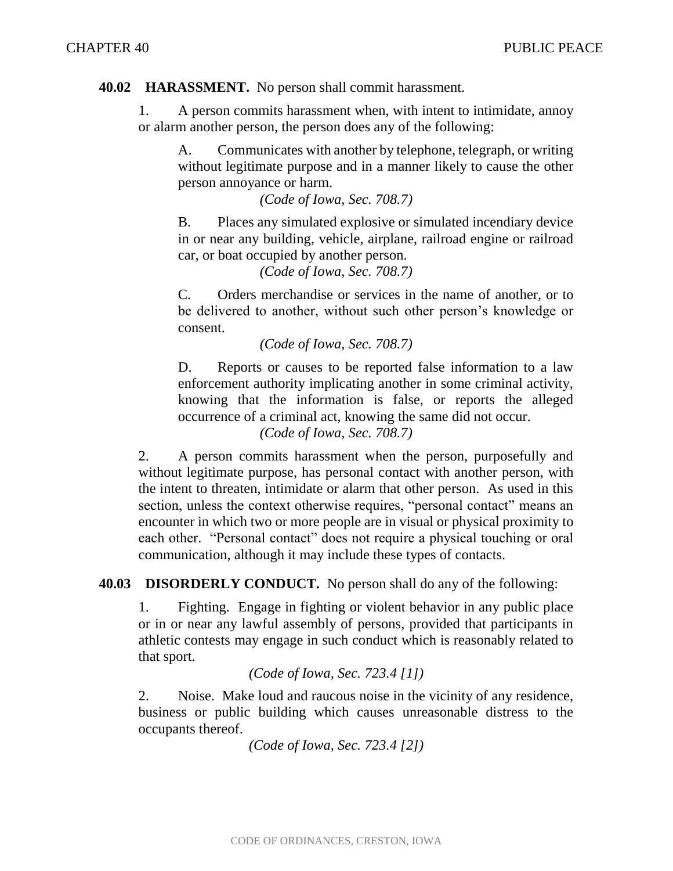## **40.02 HARASSMENT.** No person shall commit harassment.

1. A person commits harassment when, with intent to intimidate, annoy or alarm another person, the person does any of the following:

A. Communicates with another by telephone, telegraph, or writing without legitimate purpose and in a manner likely to cause the other person annoyance or harm.

*(Code of Iowa, Sec. 708.7)*

B. Places any simulated explosive or simulated incendiary device in or near any building, vehicle, airplane, railroad engine or railroad car, or boat occupied by another person.

*(Code of Iowa, Sec. 708.7)*

C. Orders merchandise or services in the name of another, or to be delivered to another, without such other person's knowledge or consent.

*(Code of Iowa, Sec. 708.7)*

D. Reports or causes to be reported false information to a law enforcement authority implicating another in some criminal activity, knowing that the information is false, or reports the alleged occurrence of a criminal act, knowing the same did not occur. *(Code of Iowa, Sec. 708.7)*

2. A person commits harassment when the person, purposefully and without legitimate purpose, has personal contact with another person, with the intent to threaten, intimidate or alarm that other person. As used in this section, unless the context otherwise requires, "personal contact" means an encounter in which two or more people are in visual or physical proximity to each other. "Personal contact" does not require a physical touching or oral communication, although it may include these types of contacts.

**40.03 DISORDERLY CONDUCT.** No person shall do any of the following:

1. Fighting. Engage in fighting or violent behavior in any public place or in or near any lawful assembly of persons, provided that participants in athletic contests may engage in such conduct which is reasonably related to that sport.

*(Code of Iowa, Sec. 723.4 [1])*

2. Noise. Make loud and raucous noise in the vicinity of any residence, business or public building which causes unreasonable distress to the occupants thereof.

*(Code of Iowa, Sec. 723.4 [2])*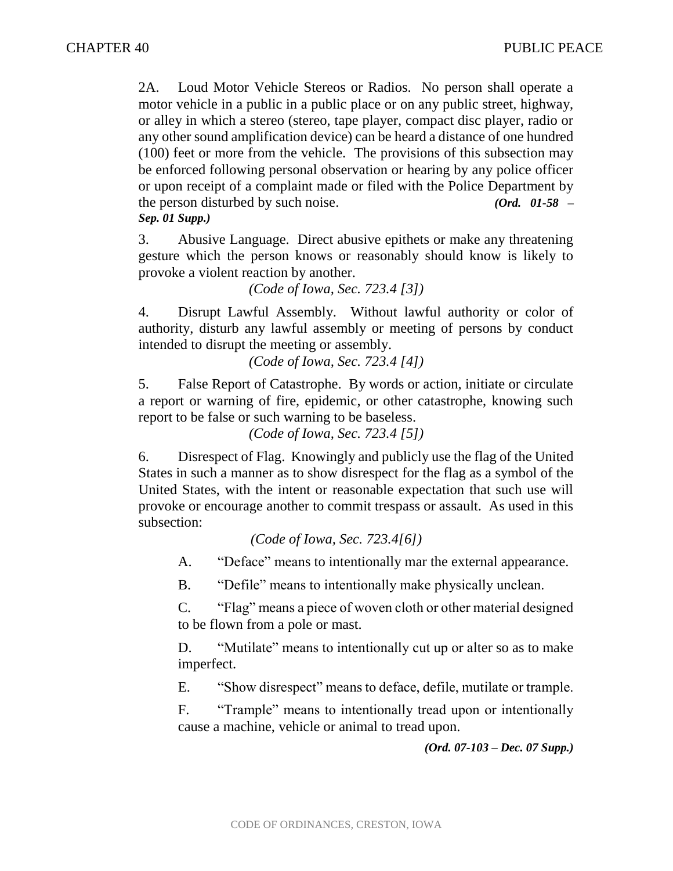2A. Loud Motor Vehicle Stereos or Radios. No person shall operate a motor vehicle in a public in a public place or on any public street, highway, or alley in which a stereo (stereo, tape player, compact disc player, radio or any other sound amplification device) can be heard a distance of one hundred (100) feet or more from the vehicle. The provisions of this subsection may be enforced following personal observation or hearing by any police officer or upon receipt of a complaint made or filed with the Police Department by the person disturbed by such noise. *(Ord. 01-58 – Sep. 01 Supp.)*

3. Abusive Language. Direct abusive epithets or make any threatening gesture which the person knows or reasonably should know is likely to provoke a violent reaction by another.

*(Code of Iowa, Sec. 723.4 [3])*

4. Disrupt Lawful Assembly. Without lawful authority or color of authority, disturb any lawful assembly or meeting of persons by conduct intended to disrupt the meeting or assembly.

*(Code of Iowa, Sec. 723.4 [4])*

5. False Report of Catastrophe. By words or action, initiate or circulate a report or warning of fire, epidemic, or other catastrophe, knowing such report to be false or such warning to be baseless.

*(Code of Iowa, Sec. 723.4 [5])*

6. Disrespect of Flag. Knowingly and publicly use the flag of the United States in such a manner as to show disrespect for the flag as a symbol of the United States, with the intent or reasonable expectation that such use will provoke or encourage another to commit trespass or assault. As used in this subsection:

*(Code of Iowa, Sec. 723.4[6])* 

A. "Deface" means to intentionally mar the external appearance.

B. "Defile" means to intentionally make physically unclean.

C. "Flag" means a piece of woven cloth or other material designed to be flown from a pole or mast.

D. "Mutilate" means to intentionally cut up or alter so as to make imperfect.

E. "Show disrespect" means to deface, defile, mutilate or trample.

F. "Trample" means to intentionally tread upon or intentionally cause a machine, vehicle or animal to tread upon.

*(Ord. 07-103 – Dec. 07 Supp.)*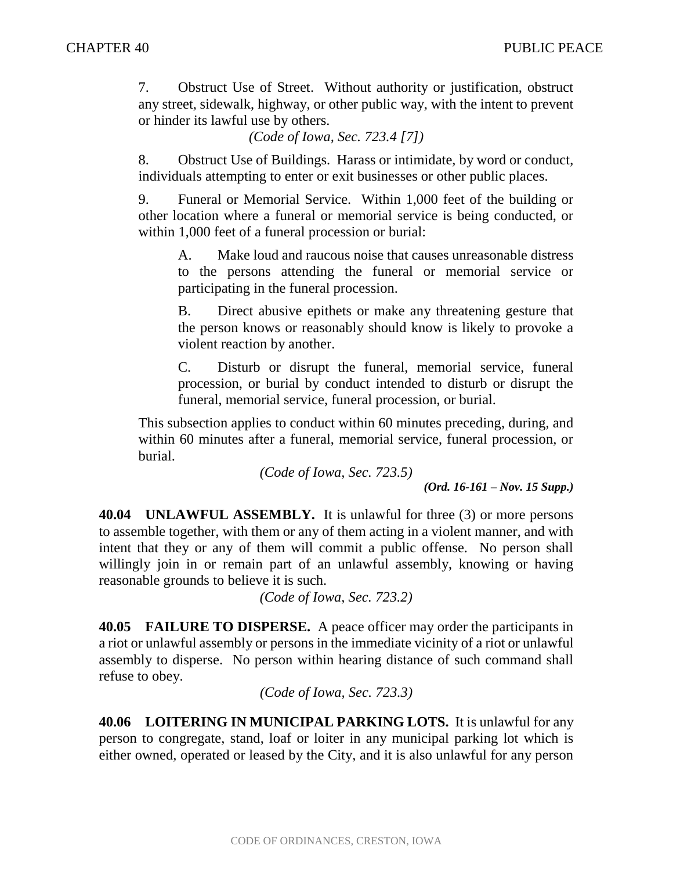7. Obstruct Use of Street. Without authority or justification, obstruct any street, sidewalk, highway, or other public way, with the intent to prevent or hinder its lawful use by others.

*(Code of Iowa, Sec. 723.4 [7])*

8. Obstruct Use of Buildings. Harass or intimidate, by word or conduct, individuals attempting to enter or exit businesses or other public places.

9. Funeral or Memorial Service. Within 1,000 feet of the building or other location where a funeral or memorial service is being conducted, or within 1,000 feet of a funeral procession or burial:

A. Make loud and raucous noise that causes unreasonable distress to the persons attending the funeral or memorial service or participating in the funeral procession.

B. Direct abusive epithets or make any threatening gesture that the person knows or reasonably should know is likely to provoke a violent reaction by another.

C. Disturb or disrupt the funeral, memorial service, funeral procession, or burial by conduct intended to disturb or disrupt the funeral, memorial service, funeral procession, or burial.

This subsection applies to conduct within 60 minutes preceding, during, and within 60 minutes after a funeral, memorial service, funeral procession, or burial.

*(Code of Iowa, Sec. 723.5)*

*(Ord. 16-161 – Nov. 15 Supp.)*

**40.04 UNLAWFUL ASSEMBLY.** It is unlawful for three (3) or more persons to assemble together, with them or any of them acting in a violent manner, and with intent that they or any of them will commit a public offense. No person shall willingly join in or remain part of an unlawful assembly, knowing or having reasonable grounds to believe it is such.

*(Code of Iowa, Sec. 723.2)*

**40.05 FAILURE TO DISPERSE.** A peace officer may order the participants in a riot or unlawful assembly or persons in the immediate vicinity of a riot or unlawful assembly to disperse. No person within hearing distance of such command shall refuse to obey.

*(Code of Iowa, Sec. 723.3)* 

**40.06 LOITERING IN MUNICIPAL PARKING LOTS.** It is unlawful for any person to congregate, stand, loaf or loiter in any municipal parking lot which is either owned, operated or leased by the City, and it is also unlawful for any person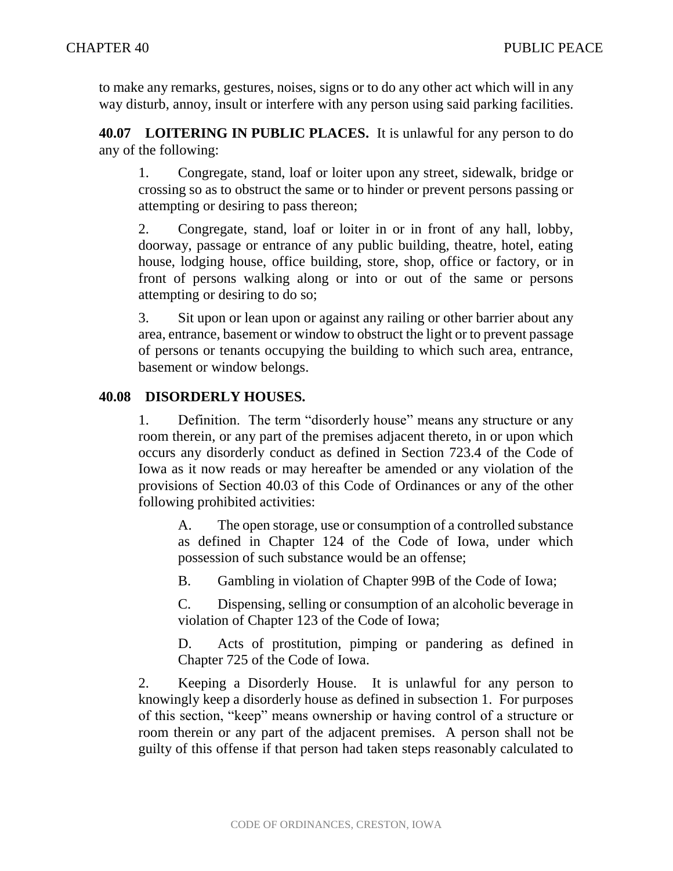to make any remarks, gestures, noises, signs or to do any other act which will in any way disturb, annoy, insult or interfere with any person using said parking facilities.

**40.07 LOITERING IN PUBLIC PLACES.** It is unlawful for any person to do any of the following:

1. Congregate, stand, loaf or loiter upon any street, sidewalk, bridge or crossing so as to obstruct the same or to hinder or prevent persons passing or attempting or desiring to pass thereon;

2. Congregate, stand, loaf or loiter in or in front of any hall, lobby, doorway, passage or entrance of any public building, theatre, hotel, eating house, lodging house, office building, store, shop, office or factory, or in front of persons walking along or into or out of the same or persons attempting or desiring to do so;

3. Sit upon or lean upon or against any railing or other barrier about any area, entrance, basement or window to obstruct the light or to prevent passage of persons or tenants occupying the building to which such area, entrance, basement or window belongs.

## **40.08 DISORDERLY HOUSES.**

1. Definition. The term "disorderly house" means any structure or any room therein, or any part of the premises adjacent thereto, in or upon which occurs any disorderly conduct as defined in Section 723.4 of the Code of Iowa as it now reads or may hereafter be amended or any violation of the provisions of Section 40.03 of this Code of Ordinances or any of the other following prohibited activities:

A. The open storage, use or consumption of a controlled substance as defined in Chapter 124 of the Code of Iowa, under which possession of such substance would be an offense;

B. Gambling in violation of Chapter 99B of the Code of Iowa;

C. Dispensing, selling or consumption of an alcoholic beverage in violation of Chapter 123 of the Code of Iowa;

D. Acts of prostitution, pimping or pandering as defined in Chapter 725 of the Code of Iowa.

2. Keeping a Disorderly House. It is unlawful for any person to knowingly keep a disorderly house as defined in subsection 1. For purposes of this section, "keep" means ownership or having control of a structure or room therein or any part of the adjacent premises. A person shall not be guilty of this offense if that person had taken steps reasonably calculated to